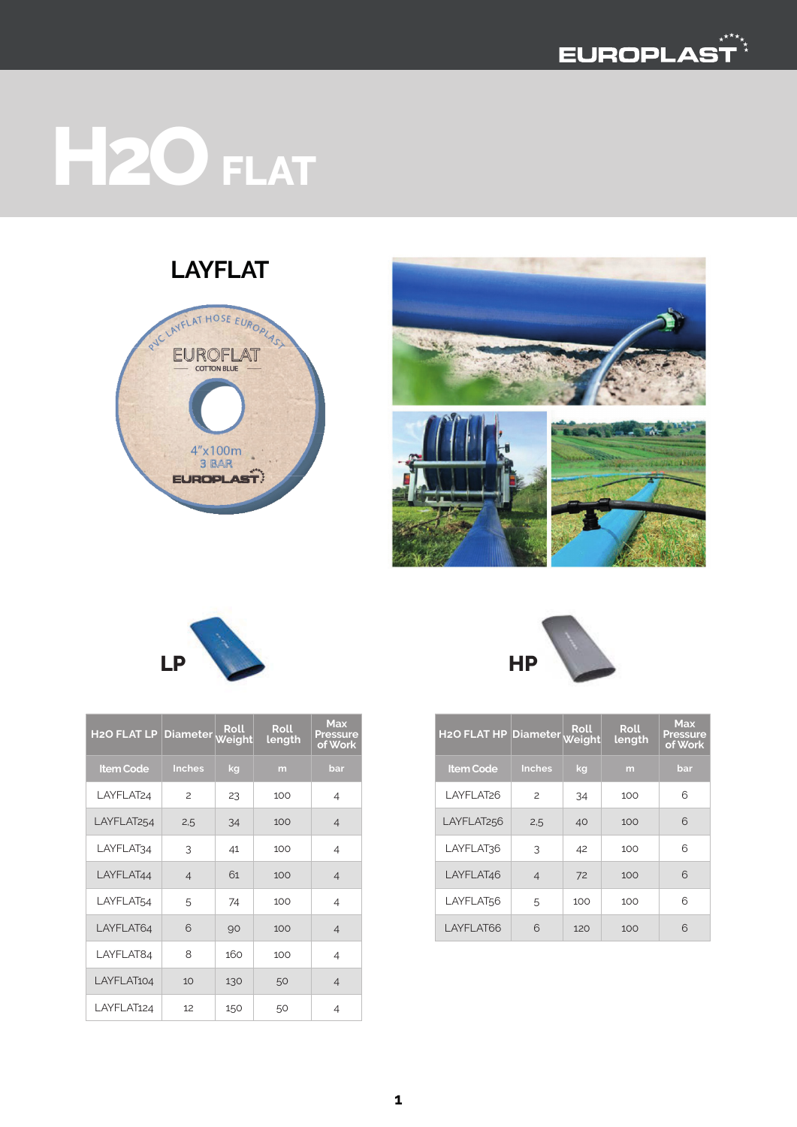

# **H2O FLAT**

#### **LAYFLAT**









| H2O FLAT HP Diameter Roll |                |     | <b>Roll</b><br>length | <b>Max</b><br>Pressure<br>of Work |
|---------------------------|----------------|-----|-----------------------|-----------------------------------|
| <b>Item Code</b>          | <b>Inches</b>  | kg  | m                     | bar                               |
| LAYFLAT <sub>26</sub>     | 2              | 34  | 100                   | 6                                 |
| LAYFLAT <sub>256</sub>    | 2,5            | 40  | 100                   | 6                                 |
| LAYFLAT36                 | 3              | 42  | 100                   | 6                                 |
| LAYFLAT46                 | $\overline{4}$ | 72  | 100                   | 6                                 |
| LAYFLAT56                 | 5              | 100 | 100                   | 6                                 |
| LAYFLAT66                 | 6              | 120 | 100                   | 6                                 |

| <b>H2O FLAT LP Diameter</b> |                | Roll<br><u>Weight</u> | <b>Roll</b><br>length | <b>Max</b><br><b>Pressure</b><br>of Work |  |
|-----------------------------|----------------|-----------------------|-----------------------|------------------------------------------|--|
| <b>Item Code</b>            | <b>Inches</b>  | kg                    | m                     | bar                                      |  |
| LAYFLAT <sub>24</sub>       | $\overline{c}$ | 23                    | 100                   | 4                                        |  |
| LAYFLAT <sub>254</sub>      | 2,5            | 34                    | 100                   | $\overline{4}$                           |  |
| LAYFLAT34                   | 3              | 41                    | 100                   | 4                                        |  |
| LAYFLAT44                   | $\overline{4}$ | 61                    | 100                   | $\overline{4}$                           |  |
| LAYFLAT54                   | 5              | 74                    | 100                   | $\overline{4}$                           |  |
| LAYFLAT64                   | 6              | 90                    | 100                   | 4                                        |  |
| LAYFLAT84                   | 8              | 160                   | 100                   | $\overline{4}$                           |  |
| LAYFLAT104                  | 10             | 130                   | 50                    | $\overline{4}$                           |  |
| LAYFLAT124                  | 12             | 150                   | 50                    | 4                                        |  |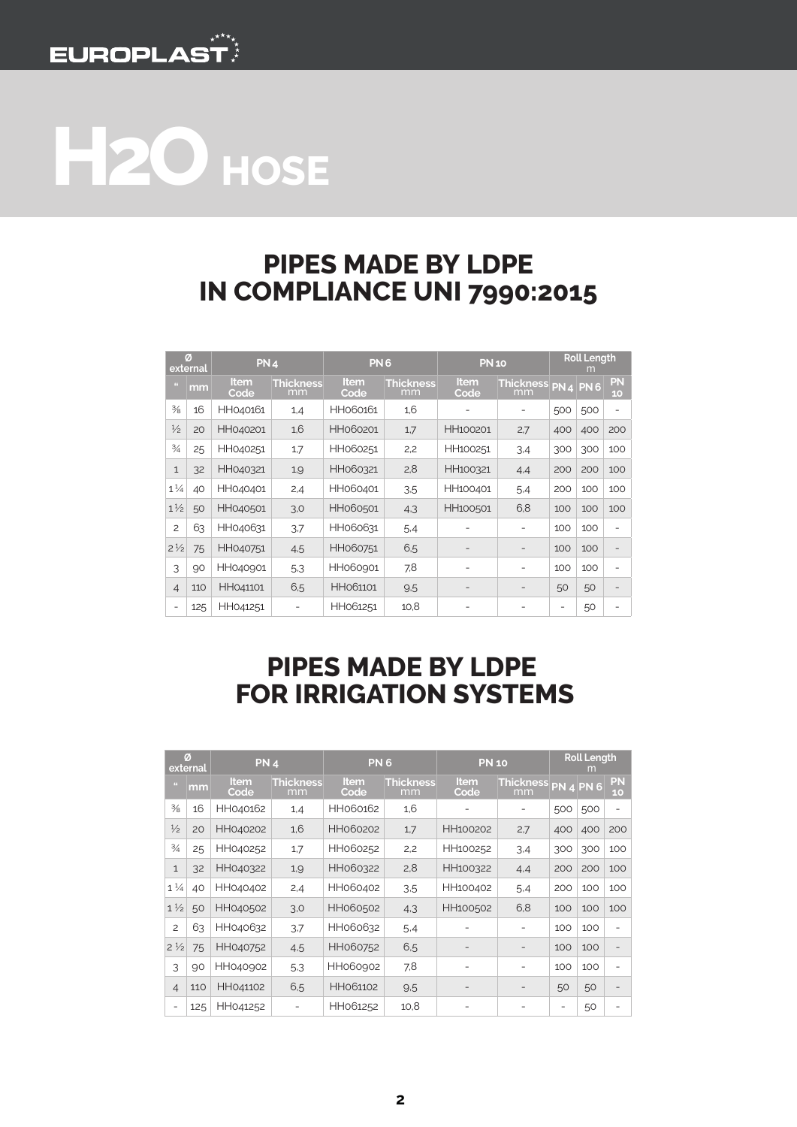

## **H2O HOSE**

#### **PIPES MADE BY LDPE IN COMPLIANCE UNI 7990:2015**

| Ø<br>external  |     | PN <sub>4</sub>     |                        | PN <sub>6</sub>     |                        | <b>PN 10</b>             |                        | <b>Roll Length</b><br>m |                  |                          |
|----------------|-----|---------------------|------------------------|---------------------|------------------------|--------------------------|------------------------|-------------------------|------------------|--------------------------|
| <b>BS</b>      | mm  | <b>Item</b><br>Code | <b>Thickness</b><br>mm | <b>Item</b><br>Code | <b>Thickness</b><br>mm | <b>Item</b><br>Code      | <b>Thickness</b><br>mm |                         | <b>PN 4 PN 6</b> | <b>PN</b><br>10          |
| $\frac{3}{8}$  | 16  | HH040161            | 1,4                    | HH060161            | 1,6                    |                          | -                      | 500                     | 500              | ۰                        |
| $\frac{1}{2}$  | 20  | HH040201            | 1,6                    | HH060201            | 1,7                    | HH100201                 | 2,7                    | 400                     | 400              | 200                      |
| $\frac{3}{4}$  | 25  | HH040251            | 1,7                    | HH060251            | 2,2                    | HH100251                 | 3.4                    | 300                     | 300              | 100                      |
| $\mathbf{1}$   | 32  | HH040321            | 1,9                    | HH060321            | 2,8                    | HH100321                 | 4,4                    | 200                     | 200              | 100                      |
| $1\frac{1}{4}$ | 40  | HH040401            | 2,4                    | HH060401            | 3.5                    | HH100401                 | 5,4                    | 200                     | 100              | 100                      |
| $1\frac{1}{2}$ | 50  | HH040501            | 3,0                    | HH060501            | 4.3                    | HH100501                 | 6,8                    | 100                     | 100              | 100                      |
| $\overline{c}$ | 63  | HH040631            | 3.7                    | HH060631            | 5.4                    |                          | ۰                      | 100                     | 100              | ۰                        |
| $2\frac{1}{2}$ | 75  | HH040751            | 4.5                    | HH060751            | 6,5                    | $\overline{\phantom{0}}$ | $\qquad \qquad -$      | 100                     | 100              | $\overline{\phantom{0}}$ |
| 3              | 90  | HH040901            | 5.3                    | HH060901            | 7,8                    | ۰                        | -                      | 100                     | 100              | ۰                        |
| $\overline{4}$ | 110 | HH041101            | 6,5                    | HH061101            | 9.5                    | $\overline{a}$           |                        | 50                      | 50               | $\overline{a}$           |
|                | 125 | HH041251            |                        | HH061251            | 10,8                   |                          |                        | -                       | 50               | -                        |

#### **PIPES MADE BY LDPE FOR IRRIGATION SYSTEMS**

| Ø<br>external  |     | <b>PN 4</b>  |                        | PN <sub>6</sub>     |                        | <b>PN 10</b>             |                           | <b>Roll Length</b><br>m |     |                          |
|----------------|-----|--------------|------------------------|---------------------|------------------------|--------------------------|---------------------------|-------------------------|-----|--------------------------|
| $\mathbf{H}$   | mm  | ltem<br>Code | <b>Thickness</b><br>mm | <b>Item</b><br>Code | <b>Thickness</b><br>mm | Item<br>Code             | Thickness PN 4 PN 6<br>mm |                         |     | PN<br>10                 |
| $\frac{3}{8}$  | 16  | HH040162     | 1,4                    | HH060162            | 1,6                    |                          |                           | 500                     | 500 | $\overline{a}$           |
| $\frac{1}{2}$  | 20  | HH040202     | 1,6                    | HH060202            | 1,7                    | HH100202                 | 2,7                       | 400                     | 400 | 200                      |
| $\frac{3}{4}$  | 25  | HH040252     | 1,7                    | HH060252            | 2,2                    | HH100252                 | 3.4                       | 300                     | 300 | 100                      |
| $\mathbf{1}$   | 32  | HH040322     | 1,9                    | HH060322            | 2,8                    | HH100322                 | 4,4                       | 200                     | 200 | 100                      |
| $1\frac{1}{4}$ | 40  | HH040402     | 2,4                    | HH060402            | 3.5                    | HH100402                 | 5.4                       | 200                     | 100 | 100                      |
| $1\frac{1}{2}$ | 50  | HH040502     | 3,0                    | HH060502            | 4,3                    | HH100502                 | 6,8                       | 100                     | 100 | 100                      |
| $\overline{c}$ | 63  | HH040632     | 3.7                    | HH060632            | 5.4                    |                          | ۰                         | 100                     | 100 | $\overline{a}$           |
| $2\frac{1}{2}$ | 75  | HH040752     | 4,5                    | HH060752            | 6,5                    | $\qquad \qquad$          | $\qquad \qquad -$         | 100                     | 100 | $\overline{\phantom{0}}$ |
| 3              | 90  | HH040902     | 5.3                    | HH060902            | 7,8                    | ٠                        | ۰                         | 100                     | 100 | $\overline{a}$           |
| $\overline{4}$ | 110 | HH041102     | 6,5                    | HH061102            | 9.5                    | $\overline{\phantom{0}}$ | $\overline{\phantom{0}}$  | 50                      | 50  | $\overline{a}$           |
| -              | 125 | HH041252     |                        | HH061252            | 10,8                   | -                        |                           | -                       | 50  |                          |